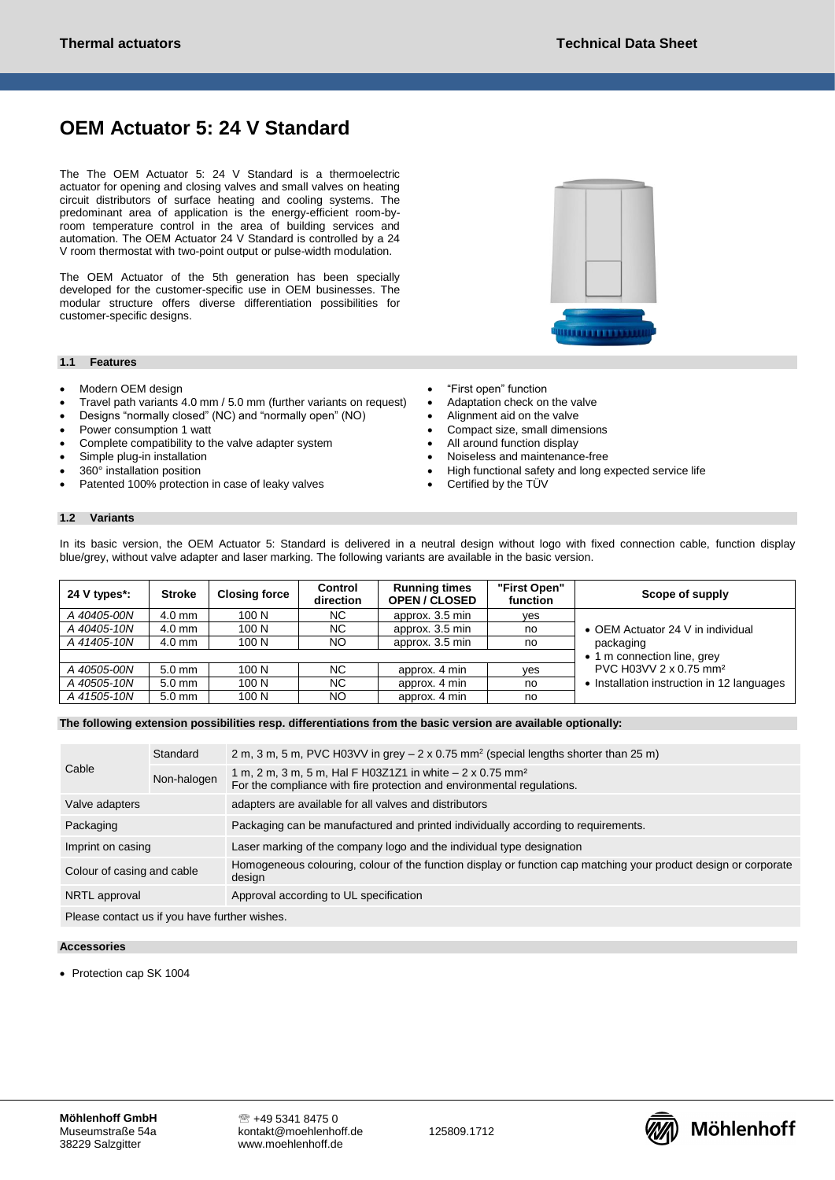# **OEM Actuator 5: 24 V Standard**

The The OEM Actuator 5: 24 V Standard is a thermoelectric actuator for opening and closing valves and small valves on heating circuit distributors of surface heating and cooling systems. The predominant area of application is the energy-efficient room-byroom temperature control in the area of building services and automation. The OEM Actuator 24 V Standard is controlled by a 24 V room thermostat with two-point output or pulse-width modulation.

The OEM Actuator of the 5th generation has been specially developed for the customer-specific use in OEM businesses. The modular structure offers diverse differentiation possibilities for customer-specific designs.

### **1.1 Features**

- Modern OEM design
- Travel path variants 4.0 mm / 5.0 mm (further variants on request)
- Designs "normally closed" (NC) and "normally open" (NO)
- Power consumption 1 watt
- Complete compatibility to the valve adapter system
- Simple plug-in installation
- 360° installation position
- Patented 100% protection in case of leaky valves
- "First open" function
- Adaptation check on the valve
- Alignment aid on the valve
- Compact size, small dimensions
- All around function display
- Noiseless and maintenance-free
- High functional safety and long expected service life

. . . . . . . . . . . . . . . .

Certified by the TÜV

### **1.2 Variants**

In its basic version, the OEM Actuator 5: Standard is delivered in a neutral design without logo with fixed connection cable, function display blue/grey, without valve adapter and laser marking. The following variants are available in the basic version.

| 24 V types*: | <b>Stroke</b> | <b>Closing force</b> | Control<br>direction | <b>Running times</b><br><b>OPEN / CLOSED</b> | "First Open"<br>function | Scope of supply                                                                |
|--------------|---------------|----------------------|----------------------|----------------------------------------------|--------------------------|--------------------------------------------------------------------------------|
| A 40405-00N  | $4.0$ mm      | 100 N                | NC.                  | approx. 3.5 min                              | ves                      |                                                                                |
| A 40405-10N  | $4.0$ mm      | 100 N                | NC.                  | approx. 3.5 min                              | no                       | • OEM Actuator 24 V in individual<br>packaging                                 |
| A 41405-10N  | $4.0$ mm      | 100 N                | NO.                  | approx. 3.5 min                              | no                       |                                                                                |
|              |               |                      |                      |                                              |                          | • 1 m connection line, grey                                                    |
| A 40505-00N  | $5.0$ mm      | 100 N                | NC.                  | approx. 4 min                                | ves                      | PVC H03VV 2 x 0.75 mm <sup>2</sup><br>Installation instruction in 12 languages |
| A 40505-10N  | $5.0$ mm      | 100 N                | NC.                  | approx. 4 min                                | no                       |                                                                                |
| A 41505-10N  | $5.0$ mm      | 100 N                | NO.                  | approx. 4 min                                | no                       |                                                                                |

**The following extension possibilities resp. differentiations from the basic version are available optionally:**

| Cable                                         | Standard    | 2 m, 3 m, 5 m, PVC H03VV in grey $-$ 2 x 0.75 mm <sup>2</sup> (special lengths shorter than 25 m)                                               |  |  |  |
|-----------------------------------------------|-------------|-------------------------------------------------------------------------------------------------------------------------------------------------|--|--|--|
|                                               | Non-halogen | 1 m, 2 m, 3 m, 5 m, Hal F H03Z1Z1 in white – 2 x 0.75 mm <sup>2</sup><br>For the compliance with fire protection and environmental regulations. |  |  |  |
| Valve adapters                                |             | adapters are available for all valves and distributors                                                                                          |  |  |  |
| Packaging                                     |             | Packaging can be manufactured and printed individually according to requirements.                                                               |  |  |  |
| Imprint on casing                             |             | Laser marking of the company logo and the individual type designation                                                                           |  |  |  |
| Colour of casing and cable                    |             | Homogeneous colouring, colour of the function display or function cap matching your product design or corporate<br>design                       |  |  |  |
| NRTL approval                                 |             | Approval according to UL specification                                                                                                          |  |  |  |
| Please contact us if you have further wishes. |             |                                                                                                                                                 |  |  |  |

#### **Accessories**

• Protection cap SK 1004

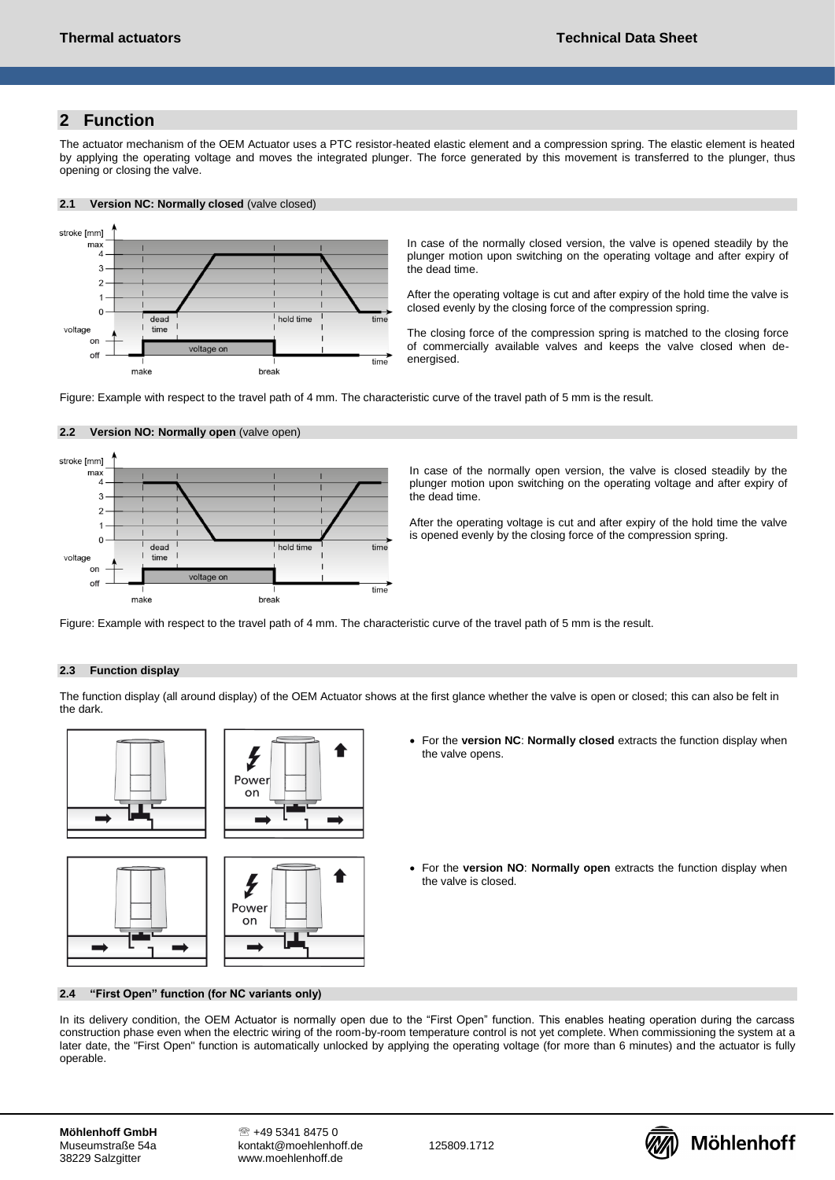## **2 Function**

The actuator mechanism of the OEM Actuator uses a PTC resistor-heated elastic element and a compression spring. The elastic element is heated by applying the operating voltage and moves the integrated plunger. The force generated by this movement is transferred to the plunger, thus opening or closing the valve.

### **2.1 Version NC: Normally closed** (valve closed)



In case of the normally closed version, the valve is opened steadily by the plunger motion upon switching on the operating voltage and after expiry of the dead time.

After the operating voltage is cut and after expiry of the hold time the valve is closed evenly by the closing force of the compression spring.

The closing force of the compression spring is matched to the closing force of commercially available valves and keeps the valve closed when deenergised.

Figure: Example with respect to the travel path of 4 mm. The characteristic curve of the travel path of 5 mm is the result.



## **2.2 Version NO: Normally open** (valve open)

In case of the normally open version, the valve is closed steadily by the plunger motion upon switching on the operating voltage and after expiry of the dead time.

After the operating voltage is cut and after expiry of the hold time the valve is opened evenly by the closing force of the compression spring.

Figure: Example with respect to the travel path of 4 mm. The characteristic curve of the travel path of 5 mm is the result.

## **2.3 Function display**

The function display (all around display) of the OEM Actuator shows at the first glance whether the valve is open or closed; this can also be felt in the dark.









- For the **version NC**: **Normally closed** extracts the function display when the valve opens.
- For the **version NO**: **Normally open** extracts the function display when the valve is closed.

#### **2.4 "First Open" function (for NC variants only)**

In its delivery condition, the OEM Actuator is normally open due to the "First Open" function. This enables heating operation during the carcass construction phase even when the electric wiring of the room-by-room temperature control is not yet complete. When commissioning the system at a later date, the "First Open" function is automatically unlocked by applying the operating voltage (for more than 6 minutes) and the actuator is fully operable.

125809.1712

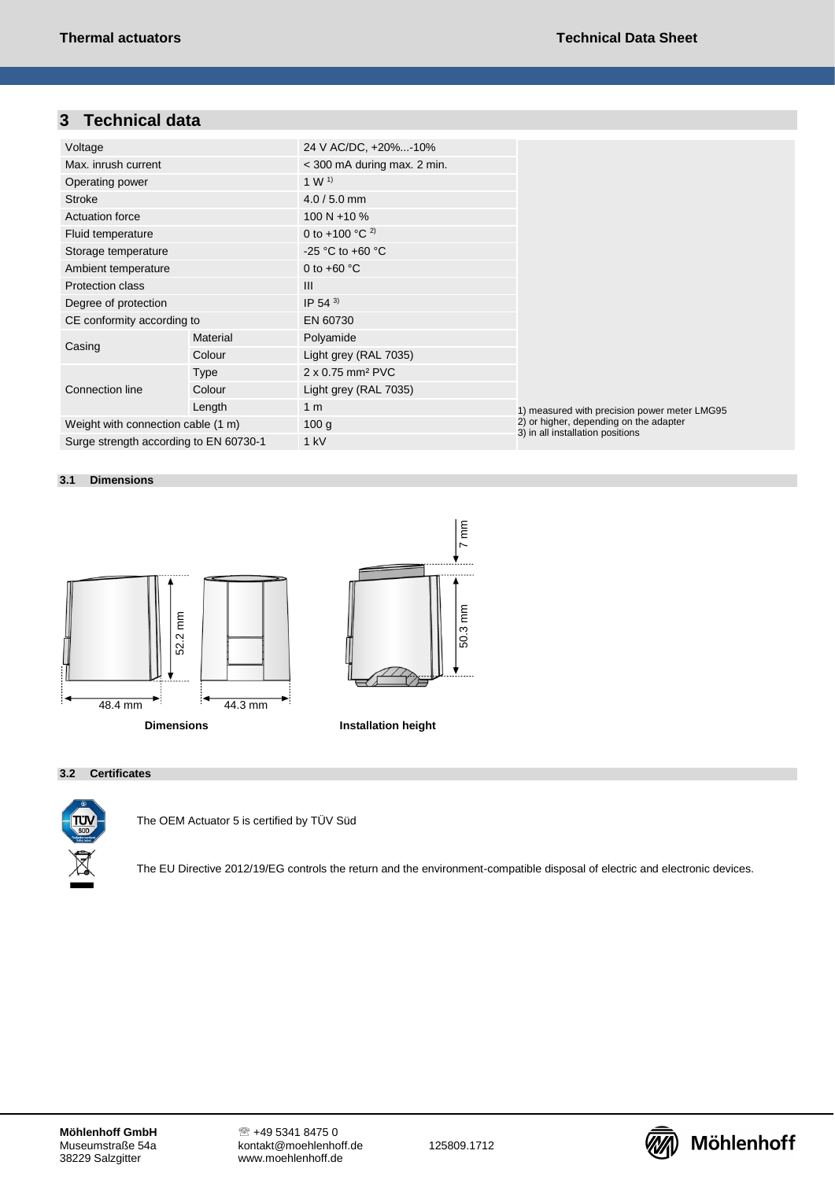## **3 Technical data**

| Voltage                                |          | 24 V AC/DC, +20%-10%          |                                              |  |  |
|----------------------------------------|----------|-------------------------------|----------------------------------------------|--|--|
| Max. inrush current                    |          | $<$ 300 mA during max. 2 min. |                                              |  |  |
| Operating power                        |          | 1 W <sup>1</sup>              |                                              |  |  |
| <b>Stroke</b>                          |          | $4.0 / 5.0$ mm                |                                              |  |  |
| <b>Actuation force</b>                 |          | 100 N + 10 %                  |                                              |  |  |
| Fluid temperature                      |          | 0 to +100 °C $^{2}$ )         |                                              |  |  |
| Storage temperature                    |          | -25 °C to +60 °C              |                                              |  |  |
| Ambient temperature                    |          | 0 to $+60$ °C                 |                                              |  |  |
| Protection class                       |          | $\mathbf{III}$                |                                              |  |  |
| Degree of protection                   |          | IP 54 $3$                     |                                              |  |  |
| CE conformity according to             |          | EN 60730                      |                                              |  |  |
|                                        | Material | Polyamide                     |                                              |  |  |
| Casing                                 | Colour   | Light grey (RAL 7035)         |                                              |  |  |
|                                        | Type     | 2 x 0.75 mm <sup>2</sup> PVC  |                                              |  |  |
| Connection line                        | Colour   | Light grey (RAL 7035)         |                                              |  |  |
|                                        | Length   | 1 <sub>m</sub>                | 1) measured with precision power meter LMG95 |  |  |
| Weight with connection cable (1 m)     |          | 100 g                         | 2) or higher, depending on the adapter       |  |  |
| Surge strength according to EN 60730-1 |          | 1 kV                          | 3) in all installation positions             |  |  |

### **3.1 Dimensions**



### **3.2 Certificates**



The OEM Actuator 5 is certified by TÜV Süd

The EU Directive 2012/19/EG controls the return and the environment-compatible disposal of electric and electronic devices.